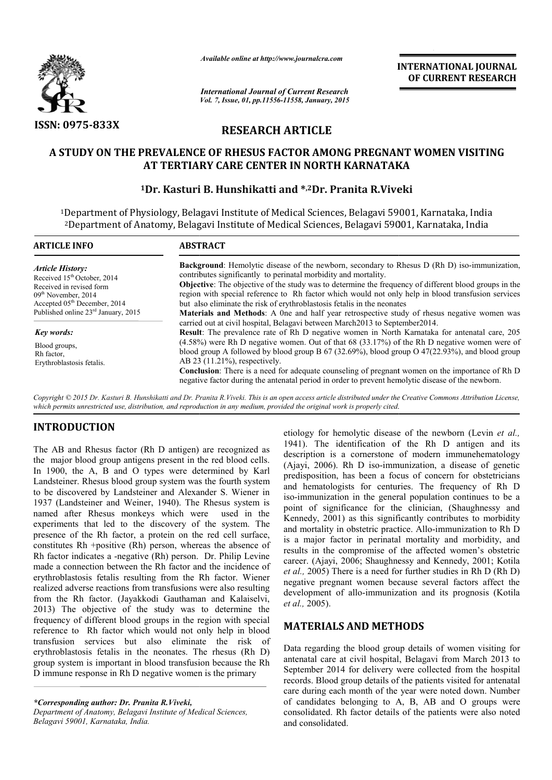

*Available online at http://www.journalcra.com*

*International Journal of Current Research Vol. 7, Issue, 01, pp.11556-11558, January, 2015* **INTERNATIONAL INTERNATIONAL JOURNAL OF CURRENT RESEARCH** 

## **RESEARCH ARTICLE**

### A STUDY ON THE PREVALENCE OF RHESUS FACTOR AMONG PREGNANT WOMEN VISITING **AT TERTIARY CARE CENTER IN NORTH KARNATAKA**

# **1Dr. Kasturi B. Hunshikatti and \*,2Dr. Pranita R.Viveki<br><sup>1</sup>Dr. Kasturi B. Hunshikatti and \*,2Dr. Pranita R.Viveki**

1Department of Physiology, Belagavi Institute of Medical Sciences, Belagavi 59001, Karnataka, India <sup>2</sup>Department of Anatomy, Belagavi Institute of Medical Sciences, Belagavi 59001, Karnataka, India

| <b>ARTICLE INFO</b>                                                                                                                                                                                        | <b>ABSTRACT</b>                                                                                                                                                                                                                                                                                                                                                                                                                                                                                                                                                                |  |  |
|------------------------------------------------------------------------------------------------------------------------------------------------------------------------------------------------------------|--------------------------------------------------------------------------------------------------------------------------------------------------------------------------------------------------------------------------------------------------------------------------------------------------------------------------------------------------------------------------------------------------------------------------------------------------------------------------------------------------------------------------------------------------------------------------------|--|--|
| <b>Article History:</b><br>Received 15 <sup>th</sup> October, 2014<br>Received in revised form<br>$09th$ November, 2014<br>Accepted 05 <sup>th</sup> December, 2014<br>Published online 23rd January, 2015 | <b>Background:</b> Hemolytic disease of the newborn, secondary to Rhesus D (Rh D) iso-immunization,<br>contributes significantly to perinatal morbidity and mortality.<br><b>Objective:</b> The objective of the study was to determine the frequency of different blood groups in the<br>region with special reference to Rh factor which would not only help in blood transfusion services<br>but also eliminate the risk of erythroblastosis fetalis in the neonates<br><b>Materials and Methods</b> : A 0ne and half year retrospective study of rhesus negative women was |  |  |
| <b>Key words:</b>                                                                                                                                                                                          | carried out at civil hospital, Belagavi between March 2013 to September 2014.<br>Result: The prevalence rate of Rh D negative women in North Karnataka for antenatal care, 205                                                                                                                                                                                                                                                                                                                                                                                                 |  |  |
| Blood groups,<br>Rh factor,<br>Erythroblastosis fetalis.                                                                                                                                                   | $(4.58\%)$ were Rh D negative women. Out of that 68 (33.17%) of the Rh D negative women were of<br>blood group A followed by blood group B $67$ (32.69%), blood group O $47$ (22.93%), and blood group<br>AB 23 $(11.21\%)$ , respectively.<br><b>Conclusion:</b> There is a need for adequate counseling of pregnant women on the importance of Rh D<br>negative factor during the antenatal period in order to prevent hemolytic disease of the newborn.                                                                                                                     |  |  |

Copyright © 2015 Dr. Kasturi B. Hunshikatti and Dr. Pranita R. Viveki. This is an open access article distributed under the Creative Commons Attribution License, *which permits unrestricted use, distribution, and reproduction in any medium, provided the original work is properly cited. distribution, any medium,* 

#### **INTRODUCTION**

The AB and Rhesus factor (Rh D antigen) are recognized as the major blood group antigens present in the red blood cells. In 1900, the A, B and O types were determined by Karl Landsteiner. Rhesus blood group system was the fourth system to be discovered by Landsteiner and Alexander S. Wiener in 1937 (Landsteiner and Weiner, 1940). The Rhesus system is named after Rhesus monkeys which were used in the experiments that led to the discovery of the system. Th presence of the Rh factor, a protein on the red cell surface, constitutes Rh +positive (Rh) person, whereas the absence of Rh factor indicates a -negative (Rh) person. Dr. Philip Levine made a connection between the Rh factor and the incidence of erythroblastosis fetalis resulting from the Rh factor. Wiener realized adverse reactions from transfusions were also resulting from the Rh factor. (Jayakkodi Gauthaman and Kalaiselvi 2013) The objective of the study was to determine the frequency of different blood groups in the region with special reference to Rh factor which would not only help in blood transfusion services but also eliminate the risk of erythroblastosis fetalis in the neonates. The rhesus (Rh D) group system is important in blood transfusion because the Rh D immune response in Rh D negative women is the primary oup system was the fourth system<br>iner and Alexander S. Wiener in<br>eer, 1940). The Rhesus system is<br>eys which were used in the<br>ediscovery of the system. The e (Rh) person, whereas the absence of egative (Rh) person. Dr. Philip Levine<br>ween the Rh factor and the incidence of<br>resulting from the Rh factor. Wiener<br>ns from transfusions were also resulting<br>Jayakkodi Gauthaman and Kal **EXERCIS AND EXERCIS (SET AND THE CONSULTS)** erent statistical and Release of the disease of the disease of the identification of the diseasement in the red blood cells. (Ajayi, 2006). Rh D iso-immunisteriner. Rhesus bloo

*\*Corresponding author: Dr. Pranita R.Viveki, Department of Anatomy, Belagavi Institute of Medical Sciences, Belagavi 59001, Karnataka, India.*

1941). The identification of the Rh D antigen and its description is a cornerstone of modern immunehematology (Ajayi, 2006). Rh D iso-immunization, a disease of genetic predisposition, has been a focus of concern for obstetricians and hematologists for centuries. The frequency of Rh D iso-immunization in the general population continues to be a 1941). The identification of the Rh D antigen and its description is a cornerstone of modern immunehematology (Ajayi, 2006). Rh D iso-immunization, a disease of genetic predisposition, has been a focus of concern for obste Kennedy, 2001) as this significantly contributes to morbidity Kennedy, 2001) as this significantly contributes to morbidity and mortality in obstetric practice. Allo-immunization to Rh D is a major factor in perinatal mortality and morbidity, and is a major factor in perinatal mortality and morbidity, and results in the compromise of the affected women's obstetric career. (Ajayi, 2006; Shaughnessy and Kennedy, 2001; Kotila *et al.,* 2005) There is a need for further studies in Rh D (Rh D) negative pregnant women because several factors affect the *et al.*, 2005) There is a need for further studies in Rh D (Rh D) negative pregnant women because several factors affect the development of allo-immunization and its prognosis (Kotila *et al.,* 2005). etiology for hemolytic disease of the newborn (Levin *et al.,* 

#### **MATERIALS AND METHODS METHODS**

Data regarding the blood group details of women visiting for Data regarding the blood group details of women visiting for antenatal care at civil hospital, Belagavi from March 2013 to September 2014 for delivery were collected from the hospital records. Blood group details of the patients visited for antenatal care during each month of the year were noted down. Number of candidates belonging to A, B, AB and O groups were consolidated. Rh factor details of the patients were also and consolidated. Blood group details of the patients visited for antenatal<br>ing each month of the year were noted down. Number<br>idates belonging to A, B, AB and O groups were<br>ated. Rh factor details of the patients were also noted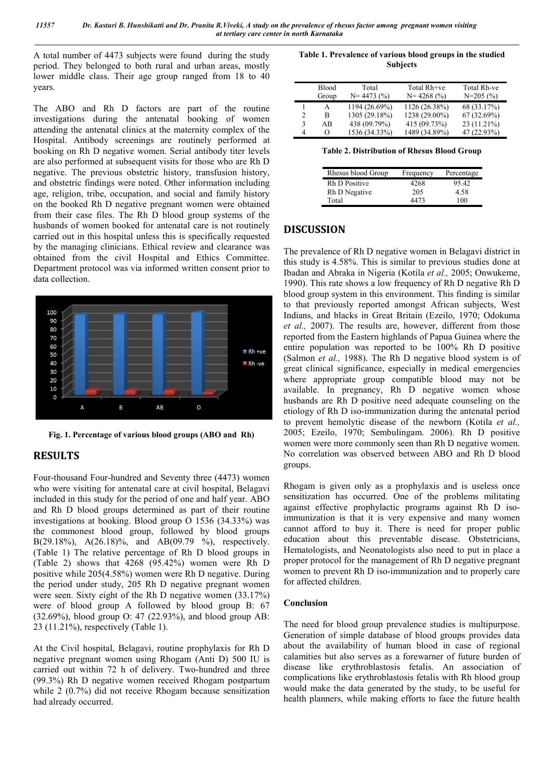A total number of 4473 subjects were found during the study period. They belonged to both rural and urban areas, mostly lower middle class. Their age group ranged from 18 to 40 years.

The ABO and Rh D factors are part of the routine investigations during the antenatal booking of women attending the antenatal clinics at the maternity complex of the Hospital. Antibody screenings are routinely performed at booking on Rh D negative women. Serial antibody titer levels are also performed at subsequent visits for those who are Rh D negative. The previous obstetric history, transfusion history, and obstetric findings were noted. Other information including age, religion, tribe, occupation, and social and family history on the booked Rh D negative pregnant women were obtained from their case files. The Rh D blood group systems of the husbands of women booked for antenatal care is not routinely carried out in this hospital unless this is specifically requested by the managing clinicians. Ethical review and clearance was obtained from the civil Hospital and Ethics Committee. Department protocol was via informed written consent prior to data collection.



**Fig. 1. Percentage of various blood groups (ABO and Rh)**

## **RESULTS**

Four-thousand Four-hundred and Seventy three (4473) women who were visiting for antenatal care at civil hospital, Belagavi included in this study for the period of one and half year. ABO and Rh D blood groups determined as part of their routine investigations at booking. Blood group O 1536 (34.33%) was the commonest blood group, followed by blood groups B(29.18%), A(26.18)%, and AB(09.79 %), respectively. (Table 1) The relative percentage of Rh D blood groups in (Table 2) shows that 4268 (95.42%) women were Rh D positive while 205(4.58%) women were Rh D negative. During the period under study, 205 Rh D negative pregnant women were seen. Sixty eight of the Rh D negative women (33.17%) were of blood group A followed by blood group B: 67 (32.69%), blood group O: 47 (22.93%), and blood group AB: 23 (11.21%), respectively (Table 1).

At the Civil hospital, Belagavi, routine prophylaxis for Rh D negative pregnant women using Rhogam (Anti D) 500 IU is carried out within 72 h of delivery. Two-hundred and three (99.3%) Rh D negative women received Rhogam postpartum while 2 (0.7%) did not receive Rhogam because sensitization had already occurred.

**Table 1. Prevalence of various blood groups in the studied Subjects**

|   | Blood<br>Group | Total<br>$N = 4473(%)$ | Total Rh+ve<br>$N = 4268$ (%) | Total Rh-ve<br>$N=205(%)$ |
|---|----------------|------------------------|-------------------------------|---------------------------|
|   | А              | 1194 (26.69%)          | 1126 (26.38%)                 | 68 (33.17%)               |
| 2 | R              | 1305 (29.18%)          | 1238 (29.00%)                 | 67(32.69%)                |
| 3 | AB             | 438 (09.79%)           | 415 (09.73%)                  | 23 (11.21%)               |
| 4 | $\Omega$       | 1536 (34.33%)          | 1489 (34.89%)                 | 47 (22.93%)               |

**Table 2. Distribution of Rhesus Blood Group**

| Rhesus blood Group   | Frequency | Percentage |
|----------------------|-----------|------------|
| <b>Rh D Positive</b> | 4268      | 95.42      |
| Rh D Negative        | 205       | 4.58       |
| Total                | 4473      | 100        |

## **DISCUSSION**

The prevalence of Rh D negative women in Belagavi district in this study is 4.58%. This is similar to previous studies done at Ibadan and Abraka in Nigeria (Kotila *et al.,* 2005; Onwukeme, 1990). This rate shows a low frequency of Rh D negative Rh D blood group system in this environment. This finding is similar to that previously reported amongst African subjects, West Indians, and blacks in Great Britain (Ezeilo, 1970; Odokuma *et al.,* 2007). The results are, however, different from those reported from the Eastern highlands of Papua Guinea where the entire population was reported to be 100% Rh D positive (Salmon *et al.,* 1988). The Rh D negative blood system is of great clinical significance, especially in medical emergencies where appropriate group compatible blood may not be available. In pregnancy, Rh D negative women whose husbands are Rh D positive need adequate counseling on the etiology of Rh D iso-immunization during the antenatal period to prevent hemolytic disease of the newborn (Kotila *et al.,* 2005; Ezeilo, 1970; Sembulingam. 2006). Rh D positive women were more commonly seen than Rh D negative women. No correlation was observed between ABO and Rh D blood groups.

Rhogam is given only as a prophylaxis and is useless once sensitization has occurred. One of the problems militating against effective prophylactic programs against Rh D isoimmunization is that it is very expensive and many women cannot afford to buy it. There is need for proper public education about this preventable disease. Obstetricians, Hematologists, and Neonatologists also need to put in place a proper protocol for the management of Rh D negative pregnant women to prevent Rh D iso-immunization and to properly care for affected children.

#### **Conclusion**

The need for blood group prevalence studies is multipurpose. Generation of simple database of blood groups provides data about the availability of human blood in case of regional calamities but also serves as a forewarner of future burden of disease like erythroblastosis fetalis. An association of complications like erythroblastosis fetalis with Rh blood group would make the data generated by the study, to be useful for health planners, while making efforts to face the future health